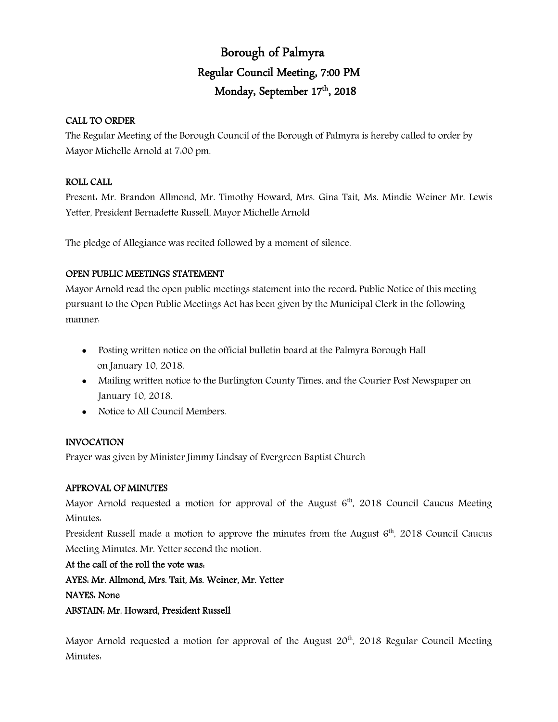## Borough of Palmyra Regular Council Meeting, 7:00 PM Monday, September 17<sup>th</sup>, 2018

## CALL TO ORDER

The Regular Meeting of the Borough Council of the Borough of Palmyra is hereby called to order by Mayor Michelle Arnold at 7:00 pm.

## ROLL CALL

Present: Mr. Brandon Allmond, Mr. Timothy Howard, Mrs. Gina Tait, Ms. Mindie Weiner Mr. Lewis Yetter, President Bernadette Russell, Mayor Michelle Arnold

The pledge of Allegiance was recited followed by a moment of silence.

## OPEN PUBLIC MEETINGS STATEMENT

Mayor Arnold read the open public meetings statement into the record: Public Notice of this meeting pursuant to the Open Public Meetings Act has been given by the Municipal Clerk in the following manner:

- Posting written notice on the official bulletin board at the Palmyra Borough Hall on January 10, 2018.
- Mailing written notice to the Burlington County Times, and the Courier Post Newspaper on January 10, 2018.
- Notice to All Council Members.

## INVOCATION

Prayer was given by Minister Jimmy Lindsay of Evergreen Baptist Church

## APPROVAL OF MINUTES

Mayor Arnold requested a motion for approval of the August  $6<sup>th</sup>$ , 2018 Council Caucus Meeting Minutes:

President Russell made a motion to approve the minutes from the August  $6<sup>th</sup>$ , 2018 Council Caucus Meeting Minutes. Mr. Yetter second the motion.

At the call of the roll the vote was:

AYES: Mr. Allmond, Mrs. Tait, Ms. Weiner, Mr. Yetter

## NAYES: None

ABSTAIN: Mr. Howard, President Russell

Mayor Arnold requested a motion for approval of the August  $20<sup>th</sup>$ , 2018 Regular Council Meeting Minutes: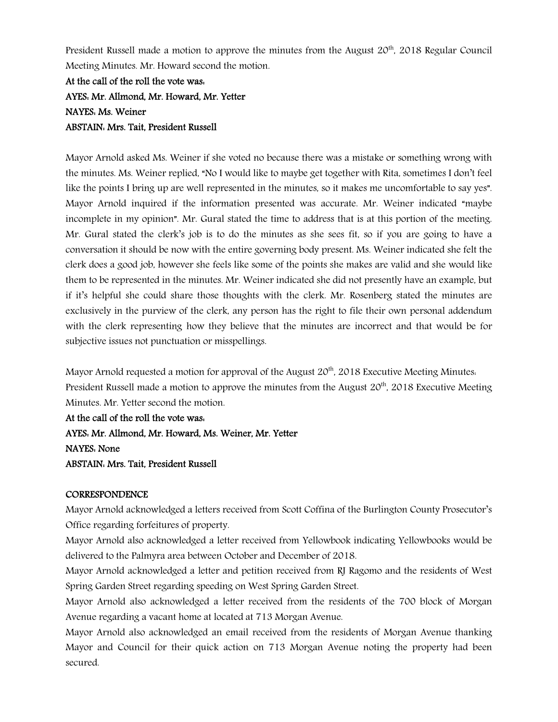President Russell made a motion to approve the minutes from the August 20<sup>th</sup>, 2018 Regular Council Meeting Minutes. Mr. Howard second the motion.

At the call of the roll the vote was: AYES: Mr. Allmond, Mr. Howard, Mr. Yetter NAYES: Ms. Weiner ABSTAIN: Mrs. Tait, President Russell

Mayor Arnold asked Ms. Weiner if she voted no because there was a mistake or something wrong with the minutes. Ms. Weiner replied, "No I would like to maybe get together with Rita, sometimes I don't feel like the points I bring up are well represented in the minutes, so it makes me uncomfortable to say yes". Mayor Arnold inquired if the information presented was accurate. Mr. Weiner indicated "maybe incomplete in my opinion". Mr. Gural stated the time to address that is at this portion of the meeting. Mr. Gural stated the clerk's job is to do the minutes as she sees fit, so if you are going to have a conversation it should be now with the entire governing body present. Ms. Weiner indicated she felt the clerk does a good job, however she feels like some of the points she makes are valid and she would like them to be represented in the minutes. Mr. Weiner indicated she did not presently have an example, but if it's helpful she could share those thoughts with the clerk. Mr. Rosenberg stated the minutes are exclusively in the purview of the clerk, any person has the right to file their own personal addendum with the clerk representing how they believe that the minutes are incorrect and that would be for subjective issues not punctuation or misspellings.

Mayor Arnold requested a motion for approval of the August  $20<sup>th</sup>$ , 2018 Executive Meeting Minutes. President Russell made a motion to approve the minutes from the August  $20^{th}$ , 2018 Executive Meeting Minutes. Mr. Yetter second the motion.

At the call of the roll the vote was: AYES: Mr. Allmond, Mr. Howard, Ms. Weiner, Mr. Yetter NAYES: None ABSTAIN: Mrs. Tait, President Russell

## **CORRESPONDENCE**

Mayor Arnold acknowledged a letters received from Scott Coffina of the Burlington County Prosecutor's Office regarding forfeitures of property.

Mayor Arnold also acknowledged a letter received from Yellowbook indicating Yellowbooks would be delivered to the Palmyra area between October and December of 2018.

Mayor Arnold acknowledged a letter and petition received from RJ Ragomo and the residents of West Spring Garden Street regarding speeding on West Spring Garden Street.

Mayor Arnold also acknowledged a letter received from the residents of the 700 block of Morgan Avenue regarding a vacant home at located at 713 Morgan Avenue.

Mayor Arnold also acknowledged an email received from the residents of Morgan Avenue thanking Mayor and Council for their quick action on 713 Morgan Avenue noting the property had been secured.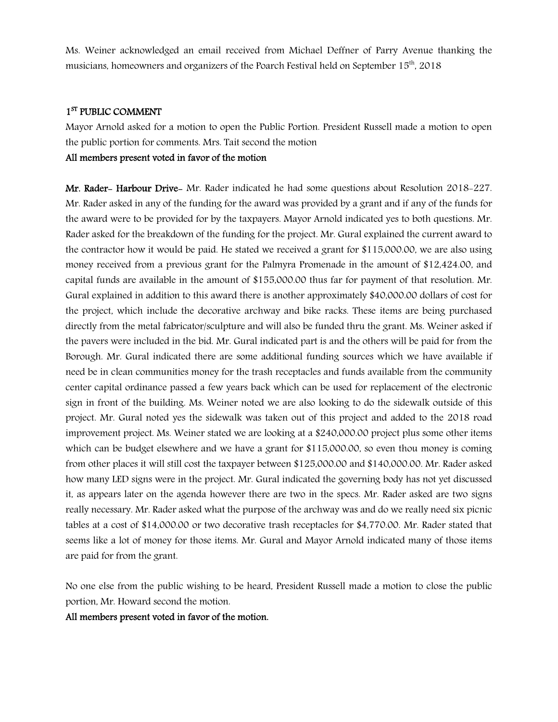Ms. Weiner acknowledged an email received from Michael Deffner of Parry Avenue thanking the musicians, homeowners and organizers of the Poarch Festival held on September  $15<sup>th</sup>$ . 2018

## 1<sup>ST</sup> PUBLIC COMMENT

Mayor Arnold asked for a motion to open the Public Portion. President Russell made a motion to open the public portion for comments. Mrs. Tait second the motion

## All members present voted in favor of the motion

Mr. Rader- Harbour Drive- Mr. Rader indicated he had some questions about Resolution 2018-227. Mr. Rader asked in any of the funding for the award was provided by a grant and if any of the funds for the award were to be provided for by the taxpayers. Mayor Arnold indicated yes to both questions. Mr. Rader asked for the breakdown of the funding for the project. Mr. Gural explained the current award to the contractor how it would be paid. He stated we received a grant for \$115,000.00, we are also using money received from a previous grant for the Palmyra Promenade in the amount of \$12,424.00, and capital funds are available in the amount of \$155,000.00 thus far for payment of that resolution. Mr. Gural explained in addition to this award there is another approximately \$40,000.00 dollars of cost for the project, which include the decorative archway and bike racks. These items are being purchased directly from the metal fabricator/sculpture and will also be funded thru the grant. Ms. Weiner asked if the pavers were included in the bid. Mr. Gural indicated part is and the others will be paid for from the Borough. Mr. Gural indicated there are some additional funding sources which we have available if need be in clean communities money for the trash receptacles and funds available from the community center capital ordinance passed a few years back which can be used for replacement of the electronic sign in front of the building. Ms. Weiner noted we are also looking to do the sidewalk outside of this project. Mr. Gural noted yes the sidewalk was taken out of this project and added to the 2018 road improvement project. Ms. Weiner stated we are looking at a \$240,000.00 project plus some other items which can be budget elsewhere and we have a grant for \$115,000.00, so even thou money is coming from other places it will still cost the taxpayer between \$125,000.00 and \$140,000.00. Mr. Rader asked how many LED signs were in the project. Mr. Gural indicated the governing body has not yet discussed it, as appears later on the agenda however there are two in the specs. Mr. Rader asked are two signs really necessary. Mr. Rader asked what the purpose of the archway was and do we really need six picnic tables at a cost of \$14,000.00 or two decorative trash receptacles for \$4,770.00. Mr. Rader stated that seems like a lot of money for those items. Mr. Gural and Mayor Arnold indicated many of those items are paid for from the grant.

No one else from the public wishing to be heard, President Russell made a motion to close the public portion, Mr. Howard second the motion.

All members present voted in favor of the motion.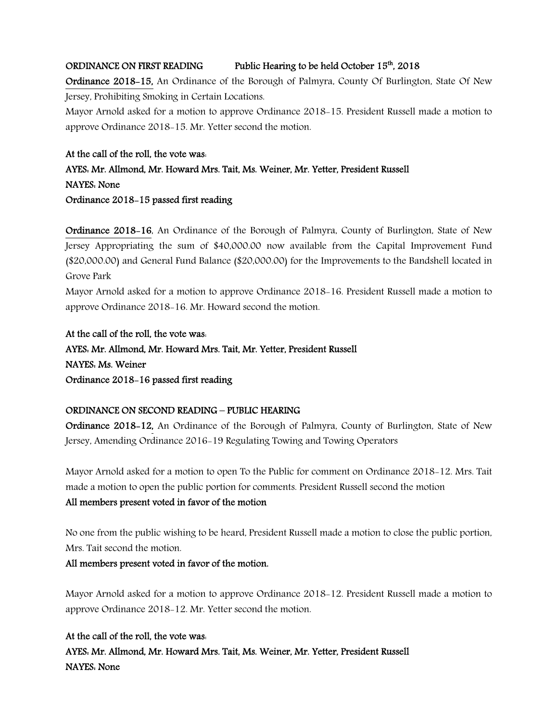## ORDINANCE ON FIRST READING Public Hearing to be held October 15<sup>th</sup>, 2018

Ordinance 2018-15, An Ordinance of the Borough of Palmyra, County Of Burlington, State Of New Jersey, Prohibiting Smoking in Certain Locations.

Mayor Arnold asked for a motion to approve Ordinance 2018-15. President Russell made a motion to approve Ordinance 2018-15. Mr. Yetter second the motion.

## At the call of the roll, the vote was:

## AYES: Mr. Allmond, Mr. Howard Mrs. Tait, Ms. Weiner, Mr. Yetter, President Russell NAYES: None Ordinance 2018-15 passed first reading

Ordinance 2018-16, An Ordinance of the Borough of Palmyra, County of Burlington, State of New Jersey Appropriating the sum of \$40,000.00 now available from the Capital Improvement Fund (\$20,000.00) and General Fund Balance (\$20,000.00) for the Improvements to the Bandshell located in Grove Park

Mayor Arnold asked for a motion to approve Ordinance 2018-16. President Russell made a motion to approve Ordinance 2018-16. Mr. Howard second the motion.

At the call of the roll, the vote was: AYES: Mr. Allmond, Mr. Howard Mrs. Tait, Mr. Yetter, President Russell NAYES: Ms. Weiner Ordinance 2018-16 passed first reading

## ORDINANCE ON SECOND READING – PUBLIC HEARING

Ordinance 2018-12, An Ordinance of the Borough of Palmyra, County of Burlington, State of New Jersey, Amending Ordinance 2016-19 Regulating Towing and Towing Operators

Mayor Arnold asked for a motion to open To the Public for comment on Ordinance 2018-12. Mrs. Tait made a motion to open the public portion for comments. President Russell second the motion

## All members present voted in favor of the motion

No one from the public wishing to be heard, President Russell made a motion to close the public portion, Mrs. Tait second the motion.

## All members present voted in favor of the motion.

Mayor Arnold asked for a motion to approve Ordinance 2018-12. President Russell made a motion to approve Ordinance 2018-12. Mr. Yetter second the motion.

## At the call of the roll, the vote was:

AYES: Mr. Allmond, Mr. Howard Mrs. Tait, Ms. Weiner, Mr. Yetter, President Russell NAYES: None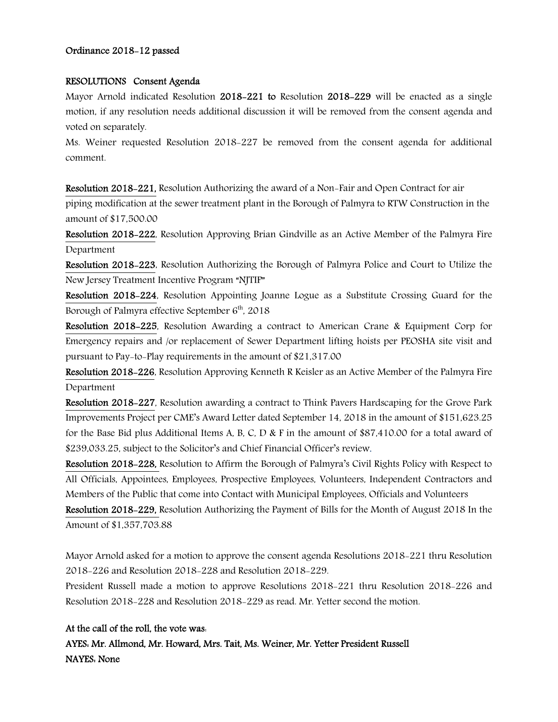#### Ordinance 2018-12 passed

#### RESOLUTIONS Consent Agenda

Mayor Arnold indicated Resolution 2018-221 to Resolution 2018-229 will be enacted as a single motion, if any resolution needs additional discussion it will be removed from the consent agenda and voted on separately.

Ms. Weiner requested Resolution 2018-227 be removed from the consent agenda for additional comment.

Resolution 2018-221, Resolution Authorizing the award of a Non-Fair and Open Contract for air piping modification at the sewer treatment plant in the Borough of Palmyra to RTW Construction in the amount of \$17,500.00

Resolution 2018-222, Resolution Approving Brian Gindville as an Active Member of the Palmyra Fire Department

Resolution 2018-223, Resolution Authorizing the Borough of Palmyra Police and Court to Utilize the New Jersey Treatment Incentive Program "NJTIP"

Resolution 2018-224, Resolution Appointing Joanne Logue as a Substitute Crossing Guard for the Borough of Palmyra effective September 6<sup>th</sup>, 2018

Resolution 2018-225, Resolution Awarding a contract to American Crane & Equipment Corp for Emergency repairs and /or replacement of Sewer Department lifting hoists per PEOSHA site visit and pursuant to Pay-to-Play requirements in the amount of \$21,317.00

Resolution 2018-226, Resolution Approving Kenneth R Keisler as an Active Member of the Palmyra Fire Department

Resolution 2018-227, Resolution awarding a contract to Think Pavers Hardscaping for the Grove Park Improvements Project per CME's Award Letter dated September 14, 2018 in the amount of \$151,623.25 for the Base Bid plus Additional Items A, B, C, D & F in the amount of \$87,410.00 for a total award of \$239,033.25, subject to the Solicitor's and Chief Financial Officer's review.

Resolution 2018-228, Resolution to Affirm the Borough of Palmyra's Civil Rights Policy with Respect to All Officials, Appointees, Employees, Prospective Employees, Volunteers, Independent Contractors and Members of the Public that come into Contact with Municipal Employees, Officials and Volunteers

Resolution 2018-229, Resolution Authorizing the Payment of Bills for the Month of August 2018 In the Amount of \$1,357,703.88

Mayor Arnold asked for a motion to approve the consent agenda Resolutions 2018-221 thru Resolution 2018-226 and Resolution 2018-228 and Resolution 2018-229.

President Russell made a motion to approve Resolutions 2018-221 thru Resolution 2018-226 and Resolution 2018-228 and Resolution 2018-229 as read. Mr. Yetter second the motion.

## At the call of the roll, the vote was:

AYES: Mr. Allmond, Mr. Howard, Mrs. Tait, Ms. Weiner, Mr. Yetter President Russell NAYES: None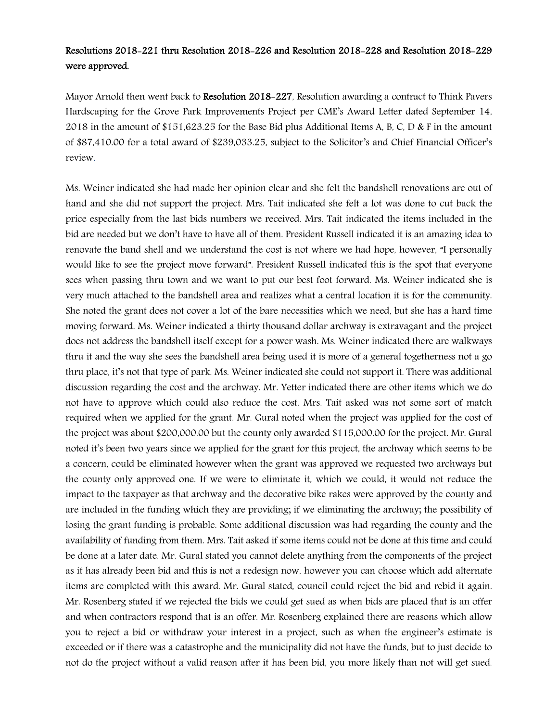## Resolutions 2018-221 thru Resolution 2018-226 and Resolution 2018-228 and Resolution 2018-229 were approved.

Mayor Arnold then went back to Resolution 2018–227, Resolution awarding a contract to Think Pavers Hardscaping for the Grove Park Improvements Project per CME's Award Letter dated September 14, 2018 in the amount of \$151,623.25 for the Base Bid plus Additional Items A, B, C, D & F in the amount of \$87,410.00 for a total award of \$239,033.25, subject to the Solicitor's and Chief Financial Officer's review.

Ms. Weiner indicated she had made her opinion clear and she felt the bandshell renovations are out of hand and she did not support the project. Mrs. Tait indicated she felt a lot was done to cut back the price especially from the last bids numbers we received. Mrs. Tait indicated the items included in the bid are needed but we don't have to have all of them. President Russell indicated it is an amazing idea to renovate the band shell and we understand the cost is not where we had hope, however, "I personally would like to see the project move forward". President Russell indicated this is the spot that everyone sees when passing thru town and we want to put our best foot forward. Ms. Weiner indicated she is very much attached to the bandshell area and realizes what a central location it is for the community. She noted the grant does not cover a lot of the bare necessities which we need, but she has a hard time moving forward. Ms. Weiner indicated a thirty thousand dollar archway is extravagant and the project does not address the bandshell itself except for a power wash. Ms. Weiner indicated there are walkways thru it and the way she sees the bandshell area being used it is more of a general togetherness not a go thru place, it's not that type of park. Ms. Weiner indicated she could not support it. There was additional discussion regarding the cost and the archway. Mr. Yetter indicated there are other items which we do not have to approve which could also reduce the cost. Mrs. Tait asked was not some sort of match required when we applied for the grant. Mr. Gural noted when the project was applied for the cost of the project was about \$200,000.00 but the county only awarded \$115,000.00 for the project. Mr. Gural noted it's been two years since we applied for the grant for this project, the archway which seems to be a concern, could be eliminated however when the grant was approved we requested two archways but the county only approved one. If we were to eliminate it, which we could, it would not reduce the impact to the taxpayer as that archway and the decorative bike rakes were approved by the county and are included in the funding which they are providing; if we eliminating the archway; the possibility of losing the grant funding is probable. Some additional discussion was had regarding the county and the availability of funding from them. Mrs. Tait asked if some items could not be done at this time and could be done at a later date. Mr. Gural stated you cannot delete anything from the components of the project as it has already been bid and this is not a redesign now, however you can choose which add alternate items are completed with this award. Mr. Gural stated, council could reject the bid and rebid it again. Mr. Rosenberg stated if we rejected the bids we could get sued as when bids are placed that is an offer and when contractors respond that is an offer. Mr. Rosenberg explained there are reasons which allow you to reject a bid or withdraw your interest in a project, such as when the engineer's estimate is exceeded or if there was a catastrophe and the municipality did not have the funds, but to just decide to not do the project without a valid reason after it has been bid, you more likely than not will get sued.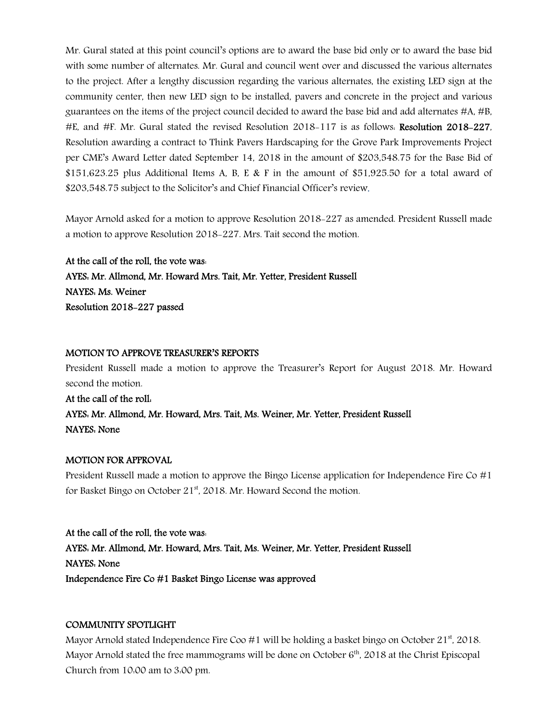Mr. Gural stated at this point council's options are to award the base bid only or to award the base bid with some number of alternates. Mr. Gural and council went over and discussed the various alternates to the project. After a lengthy discussion regarding the various alternates, the existing LED sign at the community center, then new LED sign to be installed, pavers and concrete in the project and various guarantees on the items of the project council decided to award the base bid and add alternates #A, #B, #E, and #F. Mr. Gural stated the revised Resolution 2018-117 is as follows: Resolution 2018-227, Resolution awarding a contract to Think Pavers Hardscaping for the Grove Park Improvements Project per CME's Award Letter dated September 14, 2018 in the amount of \$203,548.75 for the Base Bid of  $$151,623.25$  plus Additional Items A, B, E & F in the amount of \$51,925.50 for a total award of \$203,548.75 subject to the Solicitor's and Chief Financial Officer's review.

Mayor Arnold asked for a motion to approve Resolution 2018-227 as amended. President Russell made a motion to approve Resolution 2018-227. Mrs. Tait second the motion.

At the call of the roll, the vote was: AYES: Mr. Allmond, Mr. Howard Mrs. Tait, Mr. Yetter, President Russell NAYES: Ms. Weiner Resolution 2018-227 passed

## MOTION TO APPROVE TREASURER'S REPORTS

President Russell made a motion to approve the Treasurer's Report for August 2018. Mr. Howard second the motion.

## At the call of the roll: AYES: Mr. Allmond, Mr. Howard, Mrs. Tait, Ms. Weiner, Mr. Yetter, President Russell NAYES: None

## MOTION FOR APPROVAL

President Russell made a motion to approve the Bingo License application for Independence Fire Co #1 for Basket Bingo on October 21<sup>st</sup>, 2018. Mr. Howard Second the motion.

At the call of the roll, the vote was: AYES: Mr. Allmond, Mr. Howard, Mrs. Tait, Ms. Weiner, Mr. Yetter, President Russell NAYES: None Independence Fire Co #1 Basket Bingo License was approved

## COMMUNITY SPOTLIGHT

Mayor Arnold stated Independence Fire Coo #1 will be holding a basket bingo on October  $21<sup>st</sup>$ , 2018. Mayor Arnold stated the free mammograms will be done on October  $6<sup>th</sup>$ , 2018 at the Christ Episcopal Church from 10:00 am to 3:00 pm.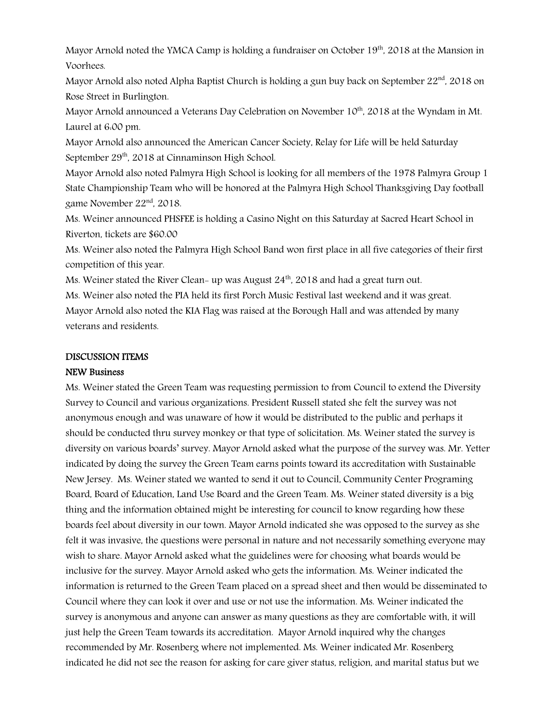Mayor Arnold noted the YMCA Camp is holding a fundraiser on October  $19<sup>th</sup>$ , 2018 at the Mansion in Voorhees.

Mayor Arnold also noted Alpha Baptist Church is holding a gun buy back on September  $22<sup>nd</sup>$ , 2018 on Rose Street in Burlington.

Mayor Arnold announced a Veterans Day Celebration on November  $10^{th}$ , 2018 at the Wyndam in Mt. Laurel at 6:00 pm.

Mayor Arnold also announced the American Cancer Society, Relay for Life will be held Saturday September 29<sup>th</sup>, 2018 at Cinnaminson High School.

Mayor Arnold also noted Palmyra High School is looking for all members of the 1978 Palmyra Group 1 State Championship Team who will be honored at the Palmyra High School Thanksgiving Day football game November 22nd, 2018.

Ms. Weiner announced PHSFEE is holding a Casino Night on this Saturday at Sacred Heart School in Riverton, tickets are \$60.00

Ms. Weiner also noted the Palmyra High School Band won first place in all five categories of their first competition of this year.

Ms. Weiner stated the River Clean- up was August  $24<sup>th</sup>$ , 2018 and had a great turn out.

Ms. Weiner also noted the PIA held its first Porch Music Festival last weekend and it was great. Mayor Arnold also noted the KIA Flag was raised at the Borough Hall and was attended by many

# veterans and residents.

## DISCUSSION ITEMS

## NEW Business

Ms. Weiner stated the Green Team was requesting permission to from Council to extend the Diversity Survey to Council and various organizations. President Russell stated she felt the survey was not anonymous enough and was unaware of how it would be distributed to the public and perhaps it should be conducted thru survey monkey or that type of solicitation. Ms. Weiner stated the survey is diversity on various boards' survey. Mayor Arnold asked what the purpose of the survey was. Mr. Yetter indicated by doing the survey the Green Team earns points toward its accreditation with Sustainable New Jersey. Ms. Weiner stated we wanted to send it out to Council, Community Center Programing Board, Board of Education, Land Use Board and the Green Team. Ms. Weiner stated diversity is a big thing and the information obtained might be interesting for council to know regarding how these boards feel about diversity in our town. Mayor Arnold indicated she was opposed to the survey as she felt it was invasive, the questions were personal in nature and not necessarily something everyone may wish to share. Mayor Arnold asked what the guidelines were for choosing what boards would be inclusive for the survey. Mayor Arnold asked who gets the information. Ms. Weiner indicated the information is returned to the Green Team placed on a spread sheet and then would be disseminated to Council where they can look it over and use or not use the information. Ms. Weiner indicated the survey is anonymous and anyone can answer as many questions as they are comfortable with, it will just help the Green Team towards its accreditation. Mayor Arnold inquired why the changes recommended by Mr. Rosenberg where not implemented. Ms. Weiner indicated Mr. Rosenberg indicated he did not see the reason for asking for care giver status, religion, and marital status but we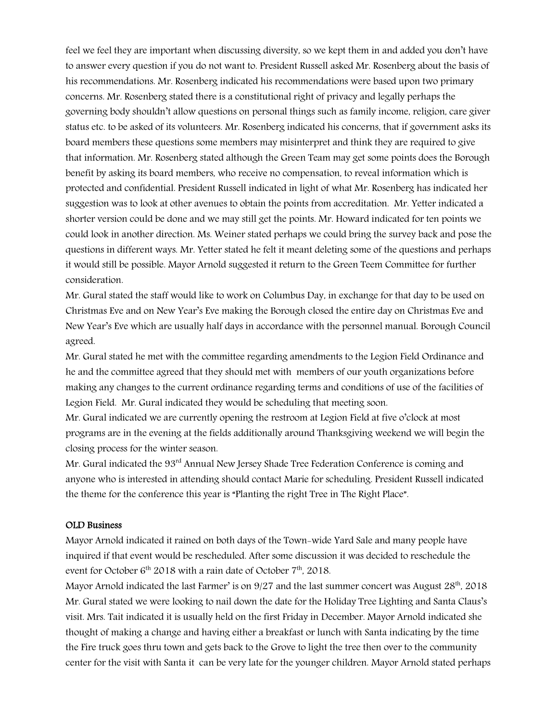feel we feel they are important when discussing diversity, so we kept them in and added you don't have to answer every question if you do not want to. President Russell asked Mr. Rosenberg about the basis of his recommendations. Mr. Rosenberg indicated his recommendations were based upon two primary concerns. Mr. Rosenberg stated there is a constitutional right of privacy and legally perhaps the governing body shouldn't allow questions on personal things such as family income, religion, care giver status etc. to be asked of its volunteers. Mr. Rosenberg indicated his concerns, that if government asks its board members these questions some members may misinterpret and think they are required to give that information. Mr. Rosenberg stated although the Green Team may get some points does the Borough benefit by asking its board members, who receive no compensation, to reveal information which is protected and confidential. President Russell indicated in light of what Mr. Rosenberg has indicated her suggestion was to look at other avenues to obtain the points from accreditation. Mr. Yetter indicated a shorter version could be done and we may still get the points. Mr. Howard indicated for ten points we could look in another direction. Ms. Weiner stated perhaps we could bring the survey back and pose the questions in different ways. Mr. Yetter stated he felt it meant deleting some of the questions and perhaps it would still be possible. Mayor Arnold suggested it return to the Green Teem Committee for further consideration.

Mr. Gural stated the staff would like to work on Columbus Day, in exchange for that day to be used on Christmas Eve and on New Year's Eve making the Borough closed the entire day on Christmas Eve and New Year's Eve which are usually half days in accordance with the personnel manual. Borough Council agreed.

Mr. Gural stated he met with the committee regarding amendments to the Legion Field Ordinance and he and the committee agreed that they should met with members of our youth organizations before making any changes to the current ordinance regarding terms and conditions of use of the facilities of Legion Field. Mr. Gural indicated they would be scheduling that meeting soon.

Mr. Gural indicated we are currently opening the restroom at Legion Field at five o'clock at most programs are in the evening at the fields additionally around Thanksgiving weekend we will begin the closing process for the winter season.

Mr. Gural indicated the 93<sup>rd</sup> Annual New Jersey Shade Tree Federation Conference is coming and anyone who is interested in attending should contact Marie for scheduling. President Russell indicated the theme for the conference this year is "Planting the right Tree in The Right Place".

#### OLD Business

Mayor Arnold indicated it rained on both days of the Town-wide Yard Sale and many people have inquired if that event would be rescheduled. After some discussion it was decided to reschedule the event for October  $6<sup>th</sup>$  2018 with a rain date of October  $7<sup>th</sup>$ , 2018.

Mayor Arnold indicated the last Farmer' is on  $9/27$  and the last summer concert was August  $28<sup>th</sup>$ , 2018 Mr. Gural stated we were looking to nail down the date for the Holiday Tree Lighting and Santa Claus's visit. Mrs. Tait indicated it is usually held on the first Friday in December. Mayor Arnold indicated she thought of making a change and having either a breakfast or lunch with Santa indicating by the time the Fire truck goes thru town and gets back to the Grove to light the tree then over to the community center for the visit with Santa it can be very late for the younger children. Mayor Arnold stated perhaps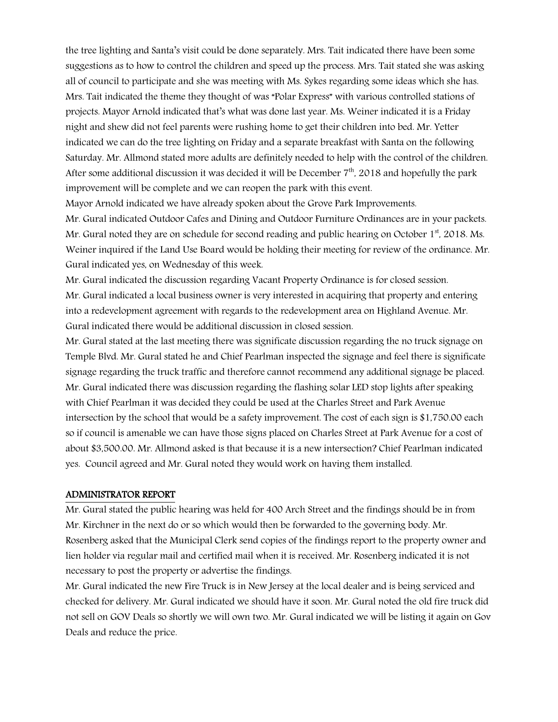the tree lighting and Santa's visit could be done separately. Mrs. Tait indicated there have been some suggestions as to how to control the children and speed up the process. Mrs. Tait stated she was asking all of council to participate and she was meeting with Ms. Sykes regarding some ideas which she has. Mrs. Tait indicated the theme they thought of was "Polar Express" with various controlled stations of projects. Mayor Arnold indicated that's what was done last year. Ms. Weiner indicated it is a Friday night and shew did not feel parents were rushing home to get their children into bed. Mr. Yetter indicated we can do the tree lighting on Friday and a separate breakfast with Santa on the following Saturday. Mr. Allmond stated more adults are definitely needed to help with the control of the children. After some additional discussion it was decided it will be December  $7<sup>th</sup>$ , 2018 and hopefully the park improvement will be complete and we can reopen the park with this event.

Mayor Arnold indicated we have already spoken about the Grove Park Improvements.

Mr. Gural indicated Outdoor Cafes and Dining and Outdoor Furniture Ordinances are in your packets. Mr. Gural noted they are on schedule for second reading and public hearing on October  $1<sup>st</sup>$ , 2018. Ms. Weiner inquired if the Land Use Board would be holding their meeting for review of the ordinance. Mr. Gural indicated yes, on Wednesday of this week.

Mr. Gural indicated the discussion regarding Vacant Property Ordinance is for closed session. Mr. Gural indicated a local business owner is very interested in acquiring that property and entering into a redevelopment agreement with regards to the redevelopment area on Highland Avenue. Mr. Gural indicated there would be additional discussion in closed session.

Mr. Gural stated at the last meeting there was significate discussion regarding the no truck signage on Temple Blvd. Mr. Gural stated he and Chief Pearlman inspected the signage and feel there is significate signage regarding the truck traffic and therefore cannot recommend any additional signage be placed. Mr. Gural indicated there was discussion regarding the flashing solar LED stop lights after speaking with Chief Pearlman it was decided they could be used at the Charles Street and Park Avenue intersection by the school that would be a safety improvement. The cost of each sign is \$1,750.00 each so if council is amenable we can have those signs placed on Charles Street at Park Avenue for a cost of about \$3,500.00. Mr. Allmond asked is that because it is a new intersection? Chief Pearlman indicated yes. Council agreed and Mr. Gural noted they would work on having them installed.

#### ADMINISTRATOR REPORT

Mr. Gural stated the public hearing was held for 400 Arch Street and the findings should be in from Mr. Kirchner in the next do or so which would then be forwarded to the governing body. Mr. Rosenberg asked that the Municipal Clerk send copies of the findings report to the property owner and lien holder via regular mail and certified mail when it is received. Mr. Rosenberg indicated it is not necessary to post the property or advertise the findings.

Mr. Gural indicated the new Fire Truck is in New Jersey at the local dealer and is being serviced and checked for delivery. Mr. Gural indicated we should have it soon. Mr. Gural noted the old fire truck did not sell on GOV Deals so shortly we will own two. Mr. Gural indicated we will be listing it again on Gov Deals and reduce the price.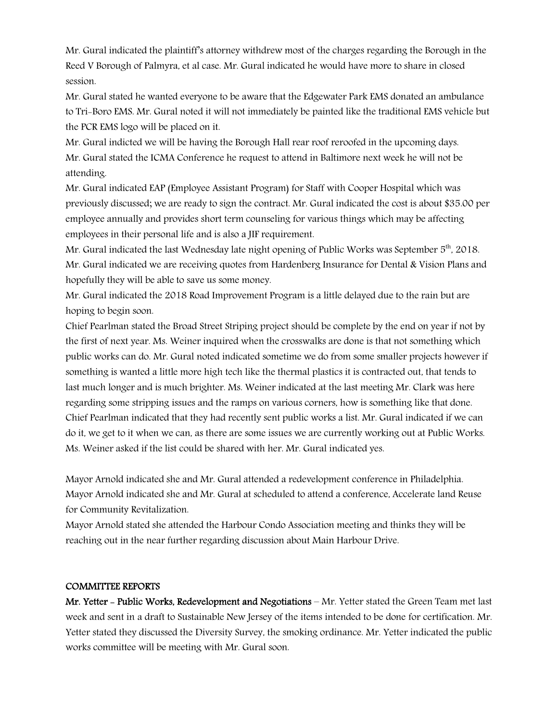Mr. Gural indicated the plaintiff's attorney withdrew most of the charges regarding the Borough in the Reed V Borough of Palmyra, et al case. Mr. Gural indicated he would have more to share in closed session.

Mr. Gural stated he wanted everyone to be aware that the Edgewater Park EMS donated an ambulance to Tri-Boro EMS. Mr. Gural noted it will not immediately be painted like the traditional EMS vehicle but the PCR EMS logo will be placed on it.

Mr. Gural indicted we will be having the Borough Hall rear roof reroofed in the upcoming days. Mr. Gural stated the ICMA Conference he request to attend in Baltimore next week he will not be attending.

Mr. Gural indicated EAP (Employee Assistant Program) for Staff with Cooper Hospital which was previously discussed; we are ready to sign the contract. Mr. Gural indicated the cost is about \$35.00 per employee annually and provides short term counseling for various things which may be affecting employees in their personal life and is also a JIF requirement.

Mr. Gural indicated the last Wednesday late night opening of Public Works was September 5<sup>th</sup>, 2018. Mr. Gural indicated we are receiving quotes from Hardenberg Insurance for Dental & Vision Plans and hopefully they will be able to save us some money.

Mr. Gural indicated the 2018 Road Improvement Program is a little delayed due to the rain but are hoping to begin soon.

Chief Pearlman stated the Broad Street Striping project should be complete by the end on year if not by the first of next year. Ms. Weiner inquired when the crosswalks are done is that not something which public works can do. Mr. Gural noted indicated sometime we do from some smaller projects however if something is wanted a little more high tech like the thermal plastics it is contracted out, that tends to last much longer and is much brighter. Ms. Weiner indicated at the last meeting Mr. Clark was here regarding some stripping issues and the ramps on various corners, how is something like that done. Chief Pearlman indicated that they had recently sent public works a list. Mr. Gural indicated if we can do it, we get to it when we can, as there are some issues we are currently working out at Public Works. Ms. Weiner asked if the list could be shared with her. Mr. Gural indicated yes.

Mayor Arnold indicated she and Mr. Gural attended a redevelopment conference in Philadelphia. Mayor Arnold indicated she and Mr. Gural at scheduled to attend a conference, Accelerate land Reuse for Community Revitalization.

Mayor Arnold stated she attended the Harbour Condo Association meeting and thinks they will be reaching out in the near further regarding discussion about Main Harbour Drive.

## COMMITTEE REPORTS

Mr. Yetter - Public Works, Redevelopment and Negotiations - Mr. Yetter stated the Green Team met last week and sent in a draft to Sustainable New Jersey of the items intended to be done for certification. Mr. Yetter stated they discussed the Diversity Survey, the smoking ordinance. Mr. Yetter indicated the public works committee will be meeting with Mr. Gural soon.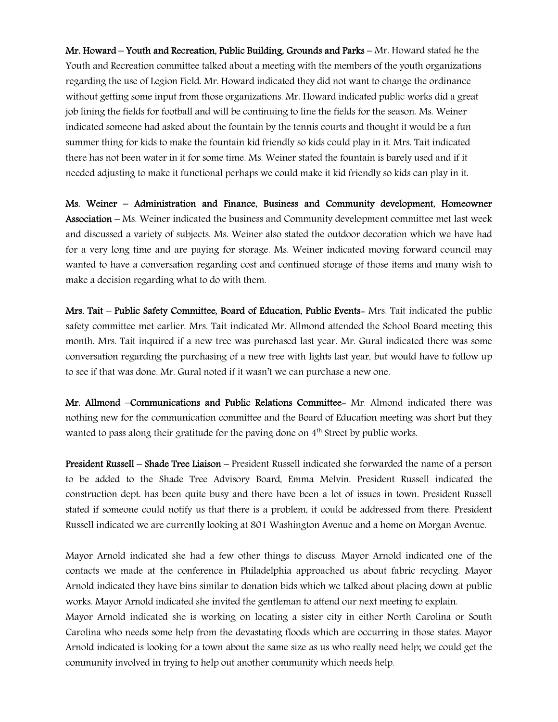Mr. Howard – Youth and Recreation, Public Building, Grounds and Parks – Mr. Howard stated he the Youth and Recreation committee talked about a meeting with the members of the youth organizations regarding the use of Legion Field. Mr. Howard indicated they did not want to change the ordinance without getting some input from those organizations. Mr. Howard indicated public works did a great job lining the fields for football and will be continuing to line the fields for the season. Ms. Weiner indicated someone had asked about the fountain by the tennis courts and thought it would be a fun summer thing for kids to make the fountain kid friendly so kids could play in it. Mrs. Tait indicated there has not been water in it for some time. Ms. Weiner stated the fountain is barely used and if it needed adjusting to make it functional perhaps we could make it kid friendly so kids can play in it.

Ms. Weiner – Administration and Finance, Business and Community development, Homeowner Association – Ms. Weiner indicated the business and Community development committee met last week and discussed a variety of subjects. Ms. Weiner also stated the outdoor decoration which we have had for a very long time and are paying for storage. Ms. Weiner indicated moving forward council may wanted to have a conversation regarding cost and continued storage of those items and many wish to make a decision regarding what to do with them.

Mrs. Tait – Public Safety Committee, Board of Education, Public Events- Mrs. Tait indicated the public safety committee met earlier. Mrs. Tait indicated Mr. Allmond attended the School Board meeting this month. Mrs. Tait inquired if a new tree was purchased last year. Mr. Gural indicated there was some conversation regarding the purchasing of a new tree with lights last year, but would have to follow up to see if that was done. Mr. Gural noted if it wasn't we can purchase a new one.

Mr. Allmond –Communications and Public Relations Committee- Mr. Almond indicated there was nothing new for the communication committee and the Board of Education meeting was short but they wanted to pass along their gratitude for the paving done on 4<sup>th</sup> Street by public works.

President Russell – Shade Tree Liaison – President Russell indicated she forwarded the name of a person to be added to the Shade Tree Advisory Board, Emma Melvin. President Russell indicated the construction dept. has been quite busy and there have been a lot of issues in town. President Russell stated if someone could notify us that there is a problem, it could be addressed from there. President Russell indicated we are currently looking at 801 Washington Avenue and a home on Morgan Avenue.

Mayor Arnold indicated she had a few other things to discuss. Mayor Arnold indicated one of the contacts we made at the conference in Philadelphia approached us about fabric recycling. Mayor Arnold indicated they have bins similar to donation bids which we talked about placing down at public works. Mayor Arnold indicated she invited the gentleman to attend our next meeting to explain.

Mayor Arnold indicated she is working on locating a sister city in either North Carolina or South Carolina who needs some help from the devastating floods which are occurring in those states. Mayor Arnold indicated is looking for a town about the same size as us who really need help; we could get the community involved in trying to help out another community which needs help.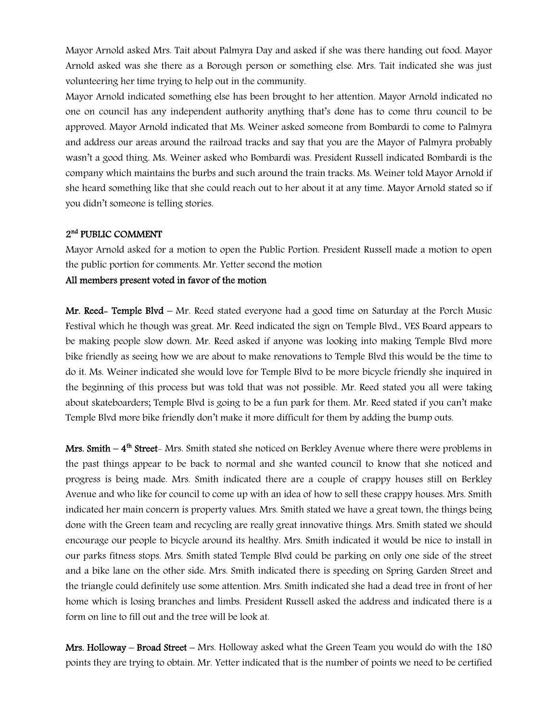Mayor Arnold asked Mrs. Tait about Palmyra Day and asked if she was there handing out food. Mayor Arnold asked was she there as a Borough person or something else. Mrs. Tait indicated she was just volunteering her time trying to help out in the community.

Mayor Arnold indicated something else has been brought to her attention. Mayor Arnold indicated no one on council has any independent authority anything that's done has to come thru council to be approved. Mayor Arnold indicated that Ms. Weiner asked someone from Bombardi to come to Palmyra and address our areas around the railroad tracks and say that you are the Mayor of Palmyra probably wasn't a good thing. Ms. Weiner asked who Bombardi was. President Russell indicated Bombardi is the company which maintains the burbs and such around the train tracks. Ms. Weiner told Mayor Arnold if she heard something like that she could reach out to her about it at any time. Mayor Arnold stated so if you didn't someone is telling stories.

## 2<sup>nd</sup> PUBLIC COMMENT

Mayor Arnold asked for a motion to open the Public Portion. President Russell made a motion to open the public portion for comments. Mr. Yetter second the motion

## All members present voted in favor of the motion

Mr. Reed- Temple Blvd - Mr. Reed stated everyone had a good time on Saturday at the Porch Music Festival which he though was great. Mr. Reed indicated the sign on Temple Blvd., VES Board appears to be making people slow down. Mr. Reed asked if anyone was looking into making Temple Blvd more bike friendly as seeing how we are about to make renovations to Temple Blvd this would be the time to do it. Ms. Weiner indicated she would love for Temple Blvd to be more bicycle friendly she inquired in the beginning of this process but was told that was not possible. Mr. Reed stated you all were taking about skateboarders; Temple Blvd is going to be a fun park for them. Mr. Reed stated if you can't make Temple Blvd more bike friendly don't make it more difficult for them by adding the bump outs.

Mrs. Smith  $-4<sup>th</sup>$  Street-Mrs. Smith stated she noticed on Berkley Avenue where there were problems in the past things appear to be back to normal and she wanted council to know that she noticed and progress is being made. Mrs. Smith indicated there are a couple of crappy houses still on Berkley Avenue and who like for council to come up with an idea of how to sell these crappy houses. Mrs. Smith indicated her main concern is property values. Mrs. Smith stated we have a great town, the things being done with the Green team and recycling are really great innovative things. Mrs. Smith stated we should encourage our people to bicycle around its healthy. Mrs. Smith indicated it would be nice to install in our parks fitness stops. Mrs. Smith stated Temple Blvd could be parking on only one side of the street and a bike lane on the other side. Mrs. Smith indicated there is speeding on Spring Garden Street and the triangle could definitely use some attention. Mrs. Smith indicated she had a dead tree in front of her home which is losing branches and limbs. President Russell asked the address and indicated there is a form on line to fill out and the tree will be look at.

**Mrs. Holloway – Broad Street –** Mrs. Holloway asked what the Green Team you would do with the  $180$ points they are trying to obtain. Mr. Yetter indicated that is the number of points we need to be certified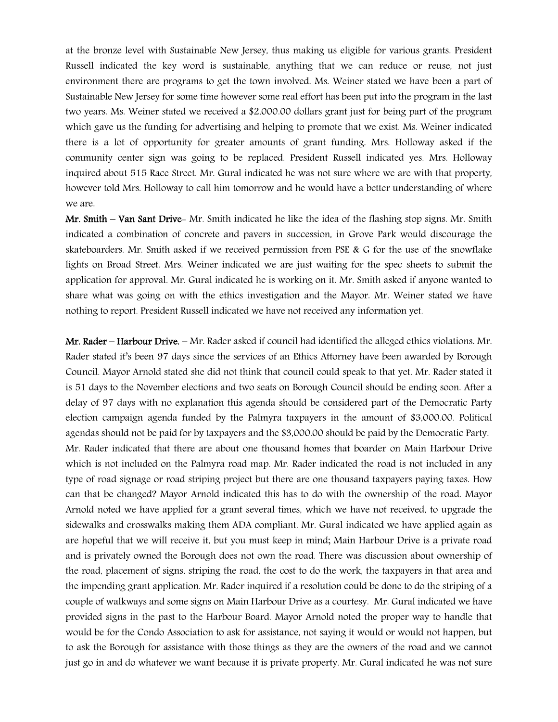at the bronze level with Sustainable New Jersey, thus making us eligible for various grants. President Russell indicated the key word is sustainable, anything that we can reduce or reuse, not just environment there are programs to get the town involved. Ms. Weiner stated we have been a part of Sustainable New Jersey for some time however some real effort has been put into the program in the last two years. Ms. Weiner stated we received a \$2,000.00 dollars grant just for being part of the program which gave us the funding for advertising and helping to promote that we exist. Ms. Weiner indicated there is a lot of opportunity for greater amounts of grant funding. Mrs. Holloway asked if the community center sign was going to be replaced. President Russell indicated yes. Mrs. Holloway inquired about 515 Race Street. Mr. Gural indicated he was not sure where we are with that property, however told Mrs. Holloway to call him tomorrow and he would have a better understanding of where we are.

Mr. Smith – Van Sant Drive- Mr. Smith indicated he like the idea of the flashing stop signs. Mr. Smith indicated a combination of concrete and pavers in succession, in Grove Park would discourage the skateboarders. Mr. Smith asked if we received permission from PSE & G for the use of the snowflake lights on Broad Street. Mrs. Weiner indicated we are just waiting for the spec sheets to submit the application for approval. Mr. Gural indicated he is working on it. Mr. Smith asked if anyone wanted to share what was going on with the ethics investigation and the Mayor. Mr. Weiner stated we have nothing to report. President Russell indicated we have not received any information yet.

Mr. Rader – Harbour Drive. – Mr. Rader asked if council had identified the alleged ethics violations. Mr. Rader stated it's been 97 days since the services of an Ethics Attorney have been awarded by Borough Council. Mayor Arnold stated she did not think that council could speak to that yet. Mr. Rader stated it is 51 days to the November elections and two seats on Borough Council should be ending soon. After a delay of 97 days with no explanation this agenda should be considered part of the Democratic Party election campaign agenda funded by the Palmyra taxpayers in the amount of \$3,000.00. Political agendas should not be paid for by taxpayers and the \$3,000.00 should be paid by the Democratic Party. Mr. Rader indicated that there are about one thousand homes that boarder on Main Harbour Drive which is not included on the Palmyra road map. Mr. Rader indicated the road is not included in any type of road signage or road striping project but there are one thousand taxpayers paying taxes. How can that be changed? Mayor Arnold indicated this has to do with the ownership of the road. Mayor Arnold noted we have applied for a grant several times, which we have not received, to upgrade the sidewalks and crosswalks making them ADA compliant. Mr. Gural indicated we have applied again as are hopeful that we will receive it, but you must keep in mind; Main Harbour Drive is a private road and is privately owned the Borough does not own the road. There was discussion about ownership of the road, placement of signs, striping the road, the cost to do the work, the taxpayers in that area and the impending grant application. Mr. Rader inquired if a resolution could be done to do the striping of a couple of walkways and some signs on Main Harbour Drive as a courtesy. Mr. Gural indicated we have provided signs in the past to the Harbour Board. Mayor Arnold noted the proper way to handle that would be for the Condo Association to ask for assistance, not saying it would or would not happen, but to ask the Borough for assistance with those things as they are the owners of the road and we cannot just go in and do whatever we want because it is private property. Mr. Gural indicated he was not sure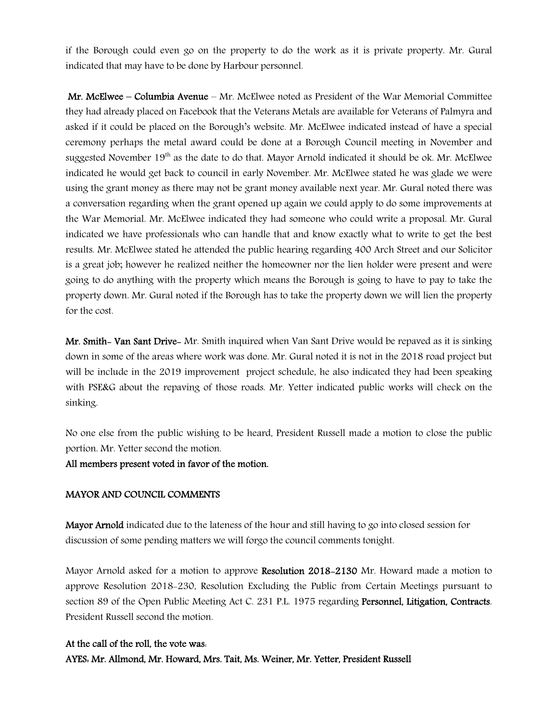if the Borough could even go on the property to do the work as it is private property. Mr. Gural indicated that may have to be done by Harbour personnel.

Mr. McElwee – Columbia Avenue – Mr. McElwee noted as President of the War Memorial Committee they had already placed on Facebook that the Veterans Metals are available for Veterans of Palmyra and asked if it could be placed on the Borough's website. Mr. McElwee indicated instead of have a special ceremony perhaps the metal award could be done at a Borough Council meeting in November and suggested November  $19<sup>th</sup>$  as the date to do that. Mayor Arnold indicated it should be ok. Mr. McElwee indicated he would get back to council in early November. Mr. McElwee stated he was glade we were using the grant money as there may not be grant money available next year. Mr. Gural noted there was a conversation regarding when the grant opened up again we could apply to do some improvements at the War Memorial. Mr. McElwee indicated they had someone who could write a proposal. Mr. Gural indicated we have professionals who can handle that and know exactly what to write to get the best results. Mr. McElwee stated he attended the public hearing regarding 400 Arch Street and our Solicitor is a great job; however he realized neither the homeowner nor the lien holder were present and were going to do anything with the property which means the Borough is going to have to pay to take the property down. Mr. Gural noted if the Borough has to take the property down we will lien the property for the cost.

Mr. Smith- Van Sant Drive- Mr. Smith inquired when Van Sant Drive would be repaved as it is sinking down in some of the areas where work was done. Mr. Gural noted it is not in the 2018 road project but will be include in the 2019 improvement project schedule, he also indicated they had been speaking with PSE&G about the repaving of those roads. Mr. Yetter indicated public works will check on the sinking.

No one else from the public wishing to be heard, President Russell made a motion to close the public portion. Mr. Yetter second the motion.

All members present voted in favor of the motion.

## MAYOR AND COUNCIL COMMENTS

Mayor Arnold indicated due to the lateness of the hour and still having to go into closed session for discussion of some pending matters we will forgo the council comments tonight.

Mayor Arnold asked for a motion to approve Resolution 2018-2130 Mr. Howard made a motion to approve Resolution 2018-230, Resolution Excluding the Public from Certain Meetings pursuant to section 89 of the Open Public Meeting Act C. 231 P.L. 1975 regarding Personnel, Litigation, Contracts. President Russell second the motion.

## At the call of the roll, the vote was:

AYES: Mr. Allmond, Mr. Howard, Mrs. Tait, Ms. Weiner, Mr. Yetter, President Russell